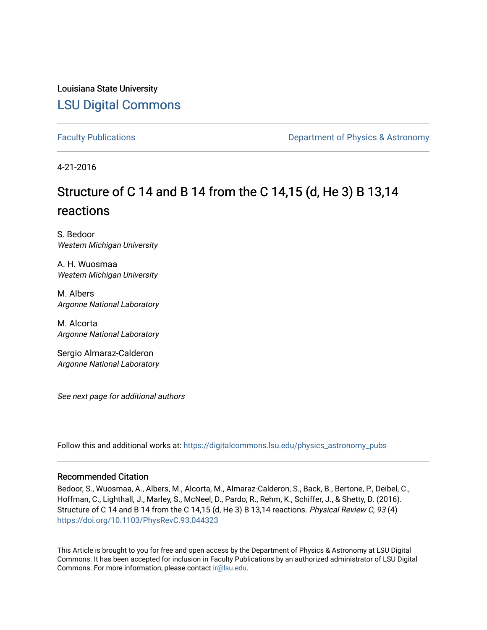Louisiana State University [LSU Digital Commons](https://digitalcommons.lsu.edu/)

[Faculty Publications](https://digitalcommons.lsu.edu/physics_astronomy_pubs) **Exercise 2 and Table 2 and Table 2 and Table 2 and Table 2 and Table 2 and Table 2 and Table 2 and Table 2 and Table 2 and Table 2 and Table 2 and Table 2 and Table 2 and Table 2 and Table 2 and Table** 

4-21-2016

# Structure of C 14 and B 14 from the C 14,15 (d, He 3) B 13,14 reactions

S. Bedoor Western Michigan University

A. H. Wuosmaa Western Michigan University

M. Albers Argonne National Laboratory

M. Alcorta Argonne National Laboratory

Sergio Almaraz-Calderon Argonne National Laboratory

See next page for additional authors

Follow this and additional works at: [https://digitalcommons.lsu.edu/physics\\_astronomy\\_pubs](https://digitalcommons.lsu.edu/physics_astronomy_pubs?utm_source=digitalcommons.lsu.edu%2Fphysics_astronomy_pubs%2F1252&utm_medium=PDF&utm_campaign=PDFCoverPages) 

## Recommended Citation

Bedoor, S., Wuosmaa, A., Albers, M., Alcorta, M., Almaraz-Calderon, S., Back, B., Bertone, P., Deibel, C., Hoffman, C., Lighthall, J., Marley, S., McNeel, D., Pardo, R., Rehm, K., Schiffer, J., & Shetty, D. (2016). Structure of C 14 and B 14 from the C 14,15 (d, He 3) B 13,14 reactions. Physical Review C, 93 (4) <https://doi.org/10.1103/PhysRevC.93.044323>

This Article is brought to you for free and open access by the Department of Physics & Astronomy at LSU Digital Commons. It has been accepted for inclusion in Faculty Publications by an authorized administrator of LSU Digital Commons. For more information, please contact [ir@lsu.edu](mailto:ir@lsu.edu).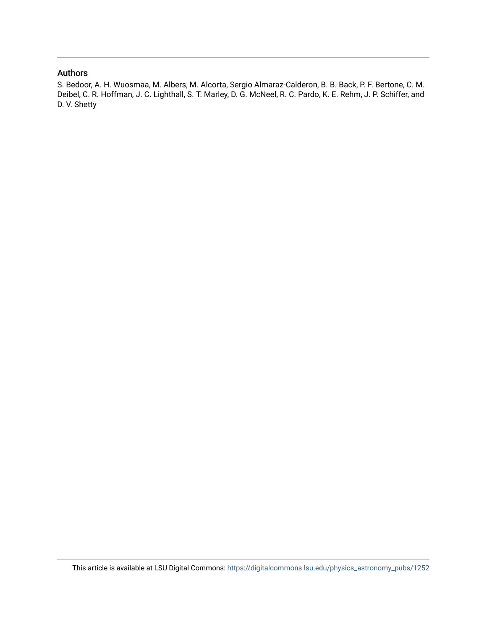# Authors

S. Bedoor, A. H. Wuosmaa, M. Albers, M. Alcorta, Sergio Almaraz-Calderon, B. B. Back, P. F. Bertone, C. M. Deibel, C. R. Hoffman, J. C. Lighthall, S. T. Marley, D. G. McNeel, R. C. Pardo, K. E. Rehm, J. P. Schiffer, and D. V. Shetty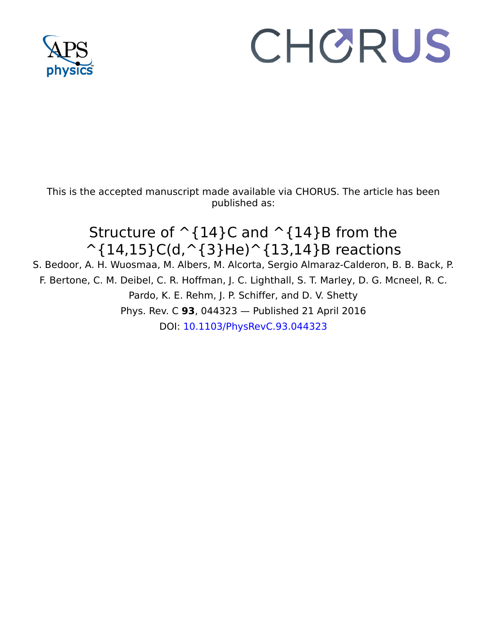

# CHORUS

This is the accepted manuscript made available via CHORUS. The article has been published as:

# Structure of  $\hat{\;}$  {14}C and  $\hat{\;}$  {14}B from the  $\hat{\;}$ {14,15}C(d, $\hat{\;}$ {3}He) $\hat{\;}$ {13,14}B reactions

S. Bedoor, A. H. Wuosmaa, M. Albers, M. Alcorta, Sergio Almaraz-Calderon, B. B. Back, P. F. Bertone, C. M. Deibel, C. R. Hoffman, J. C. Lighthall, S. T. Marley, D. G. Mcneel, R. C. Pardo, K. E. Rehm, J. P. Schiffer, and D. V. Shetty Phys. Rev. C **93**, 044323 — Published 21 April 2016 DOI: [10.1103/PhysRevC.93.044323](http://dx.doi.org/10.1103/PhysRevC.93.044323)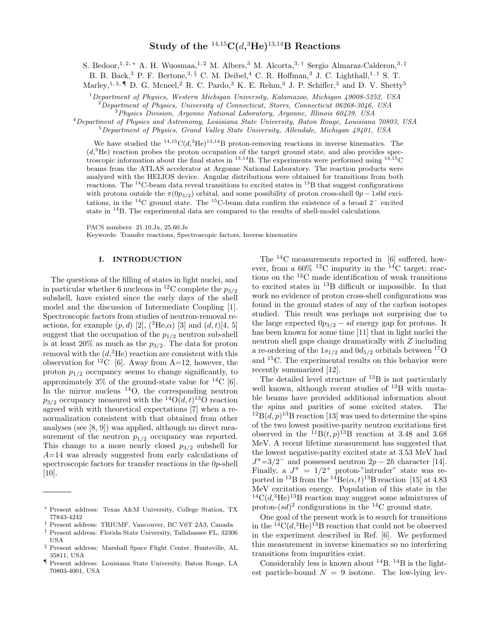# $\mathrm{\textbf{Study of the}}}\ ^{14,15}\mathrm{C}(d,^{3}\mathrm{He})^{13,14}\mathrm{B}\ \textbf{Reactions}$

S. Bedoor,<sup>1, 2, \*</sup> A. H. Wuosmaa,<sup>1, 2</sup> M. Albers,<sup>3</sup> M. Alcorta,<sup>3,†</sup> Sergio Almaraz-Calderon,<sup>3,‡</sup>

B. B. Back,<sup>3</sup> P. F. Bertone,<sup>3, §</sup> C. M. Deibel,<sup>4</sup> C. R. Hoffman,<sup>3</sup> J. C. Lighthall,<sup>1,†</sup> S. T.

Marley,<sup>1, 3, ¶</sup> D. G. Mcneel,<sup>2</sup> R. C. Pardo,<sup>3</sup> K. E. Rehm,<sup>3</sup> J. P. Schiffer,<sup>3</sup> and D. V. Shetty<sup>5</sup>

<sup>1</sup>Department of Physics, Western Michigan University, Kalamazoo, Michigan 49008-5252, USA

 $^{2}$ Department of Physics, University of Connecticut, Storrs, Connecticut 06268-3046, USA

<sup>3</sup>Physics Division, Argonne National Laboratory, Argonne, Illinois 60439, USA

<sup>4</sup>Department of Physics and Astronomy, Louisiana State University, Baton Rouge, Louisiana 70803, USA

 $5$ Department of Physics, Grand Valley State University, Allendale, Michigan 49401, USA

We have studied the  $^{14,15}C(d,^{3}He)^{13,14}B$  proton-removing reactions in inverse kinematics. The  $(d,{}^{3}\text{He})$  reaction probes the proton occupation of the target ground state, and also provides spectroscopic information about the final states in  $^{13,14}$ B. The experiments were performed using  $^{14,15}$ C beams from the ATLAS accelerator at Argonne National Laboratory. The reaction products were analyzed with the HELIOS device. Angular distributions were obtained for transitions from both reactions. The  $^{14}$ C-beam data reveal transitions to excited states in  $^{13}$ B that suggest configurations with protons outside the  $\pi(0p_{3/2})$  orbital, and some possibility of proton cross-shell  $0p - 1s0d$  excitations, in the <sup>14</sup>C ground state. The <sup>15</sup>C-beam data confirm the existence of a broad 2<sup>−</sup> excited state in  $^{14}$ B. The experimental data are compared to the results of shell-model calculations.

PACS numbers: 21.10.Jx, 25.60.Je

Keywords: Transfer reactions, Spectroscopic factors, Inverse kinematics

#### I. INTRODUCTION

The questions of the filling of states in light nuclei, and in particular whether 6 nucleons in <sup>12</sup>C complete the  $p_{3/2}$ subshell, have existed since the early days of the shell model and the discussion of Intermediate Coupling [1]. Spectroscopic factors from studies of neutron-removal reactions, for example  $(p, d)$  [2],  $({}^{3}He,\alpha)$  [3] and  $(d, t)$ [4, 5] suggest that the occupation of the  $p_{1/2}$  neutron sub-shell is at least 20% as much as the  $p_{3/2}$ . The data for proton removal with the  $(d,{}^{3}\text{He})$  reaction are consistent with this observation for <sup>12</sup>C [6]. Away from A=12, however, the proton  $p_{1/2}$  occupancy seems to change significantly, to approximately 3% of the ground-state value for  $^{14}C$  [6]. In the mirror nucleus  $^{14}$ O, the corresponding neutron  $p_{3/2}$  occupancy measured with the <sup>14</sup>O(d, t)<sup>13</sup>O reaction agreed with with theoretical expectations [7] when a renormalization consistent with that obtained from other analyses (see [8, 9]) was applied, although no direct measurement of the neutron  $p_{1/2}$  occupancy was reported. This change to a more nearly closed  $p_{3/2}$  subshell for  $A=14$  was already suggested from early calculations of spectroscopic factors for transfer reactions in the 0p-shell [10].

- † Present address: TRIUMF, Vancouver, BC V6T 2A3, Canada
- ‡ Present address: Florida State University, Tallahassee FL, 32306 USA

The  $^{14}$ C measurements reported in [6] suffered, however, from a  $60\%$  <sup>12</sup>C impurity in the <sup>14</sup>C target; reactions on the <sup>12</sup>C made identification of weak transitions to excited states in <sup>13</sup>B difficult or impossible. In that work no evidence of proton cross-shell configurations was found in the ground states of any of the carbon isotopes studied. This result was perhaps not surprising due to the large expected  $0p_{3/2} - sd$  energy gap for protons. It has been known for some time [11] that in light nuclei the neutron shell gaps change dramatically with Z including a re-ordering of the  $1s_{1/2}$  and  $0d_{5/2}$  orbitals between <sup>17</sup>O and <sup>15</sup>C. The experimental results on this behavior were recently summarized [12].

The detailed level structure of  $^{13}B$  is not particularly well known, although recent studies of  $^{13}$ B with unstable beams have provided additional information about the spins and parities of some excited states. The  ${}^{12}B(d, p)$ <sup>13</sup>B reaction [13] was used to determine the spins of the two lowest positive-parity neutron excitations first observed in the  ${}^{11}B(t,p){}^{13}B$  reaction at 3.48 and 3.68 MeV. A recent lifetime measurement has suggested that the lowest negative-parity excited state at 3.53 MeV had  $J^{\pi}$ =3/2<sup>-</sup> and possessed neutron 2p – 2h character [14]. Finally, a  $J^{\pi} = 1/2^{+}$  proton-"intruder" state was reported in <sup>13</sup>B from the <sup>14</sup>Be( $\alpha$ , t)<sup>13</sup>B reaction [15] at 4.83 MeV excitation energy. Population of this state in the  ${}^{14}C(d, {}^{3}He) {}^{13}B$  reaction may suggest some admixtures of proton- $sd)^2$  configurations in the <sup>14</sup>C ground state.

One goal of the present work is to search for transitions in the  $^{14}C(d,^{3}He)^{13}B$  reaction that could not be observed in the experiment described in Ref. [6]. We performed this measurement in inverse kinematics so no interfering transitions from impurities exist.

Considerably less is known about  $^{14}B$ .  $^{14}B$  is the lightest particle-bound  $N = 9$  isotone. The low-lying lev-

<sup>∗</sup> Present address: Texas A&M University, College Station, TX 77843-4242

<sup>§</sup> Present address: Marshall Space Flight Center, Huntsville, AL 35811, USA

<sup>¶</sup> Present address: Louisiana State University, Baton Rouge, LA 70803-4001, USA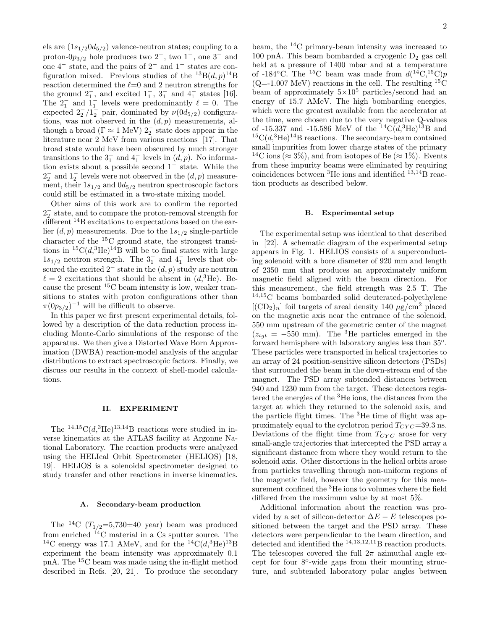els are  $(1s_{1/2}0d_{5/2})$  valence-neutron states; coupling to a proton- $0p_{3/2}$  hole produces two  $2^-$ , two  $1^-$ , one  $3^-$  and one 4<sup>−</sup> state, and the pairs of 2<sup>−</sup> and 1<sup>−</sup> states are configuration mixed. Previous studies of the  $^{13}B(d, p)^{14}B$ reaction determined the  $\ell=0$  and 2 neutron strengths for the ground  $2<sub>1</sub><sup>-</sup>$ , and excited  $1<sub>1</sub><sup>-</sup>$ ,  $3<sub>1</sub><sup>-</sup>$  and  $4<sub>1</sub><sup>-</sup>$  states [16]. The  $2_1^-$  and  $1_1^-$  levels were predominantly  $\ell = 0$ . The expected  $2^{-}_{2}/1^{-}_{2}$  pair, dominated by  $\nu(0d_{5/2})$  configurations, was not observed in the  $(d, p)$  measurements, although a broad ( $\Gamma \approx 1$  MeV)  $2^{-}_{2}$  state does appear in the literature near 2 MeV from various reactions [17]. That broad state would have been obscured by much stronger transitions to the  $3<sub>1</sub><sup>-</sup>$  and  $4<sub>1</sub><sup>-</sup>$  levels in  $(d, p)$ . No information exists about a possible second 1<sup>−</sup> state. While the  $2_2^-$  and  $1_2^-$  levels were not observed in the  $(d, p)$  measurement, their  $1s_{1/2}$  and  $0d_{5/2}$  neutron spectroscopic factors could still be estimated in a two-state mixing model.

Other aims of this work are to confirm the reported 2 − 2 state, and to compare the proton-removal strength for different <sup>14</sup>B excitations to expectations based on the earlier  $(d, p)$  measurements. Due to the  $1s_{1/2}$  single-particle character of the <sup>15</sup>C ground state, the strongest transitions in  ${}^{15}C(d,{}^{3}He)^{14}B$  will be to final states with large  $1s_{1/2}$  neutron strength. The  $3<sub>1</sub><sup>-</sup>$  and  $4<sub>1</sub><sup>-</sup>$  levels that obscured the excited  $2^-$  state in the  $(d, p)$  study are neutron  $\ell = 2$  excitations that should be absent in  $(d,{}^{3}\text{He})$ . Because the present  ${}^{15}C$  beam intensity is low, weaker transitions to states with proton configurations other than  $\pi(0p_{3/2})^{-1}$  will be difficult to observe.

In this paper we first present experimental details, followed by a description of the data reduction process including Monte-Carlo simulations of the response of the apparatus. We then give a Distorted Wave Born Approximation (DWBA) reaction-model analysis of the angular distributions to extract spectroscopic factors. Finally, we discuss our results in the context of shell-model calculations.

#### II. EXPERIMENT

The  $^{14,15}C(d,^{3}He)^{13,14}B$  reactions were studied in inverse kinematics at the ATLAS facility at Argonne National Laboratory. The reaction products were analyzed using the HELIcal Orbit Spectrometer (HELIOS) [18, 19]. HELIOS is a solenoidal spectrometer designed to study transfer and other reactions in inverse kinematics.

### A. Secondary-beam production

The <sup>14</sup>C ( $T_{1/2}$ =5,730 $\pm$ 40 year) beam was produced from enriched  $^{14}$ C material in a Cs sputter source. The <sup>14</sup>C energy was 17.1 AMeV, and for the <sup>14</sup>C( $d$ ,<sup>3</sup>He)<sup>13</sup>B experiment the beam intensity was approximately 0.1 pnA. The <sup>15</sup>C beam was made using the in-flight method described in Refs. [20, 21]. To produce the secondary

beam, the <sup>14</sup>C primary-beam intensity was increased to 100 pnA. This beam bombarded a cryogenic  $D_2$  gas cell held at a pressure of 1400 mbar and at a temperature of -184 $°C$ . The <sup>15</sup>C beam was made from  $d(^{14}C, ^{15}C)p$  $(Q=1.007 \text{ MeV})$  reactions in the cell. The resulting  ${}^{15}C$ beam of approximately  $5\times10^5$  particles/second had an energy of 15.7 AMeV. The high bombarding energies, which were the greatest available from the accelerator at the time, were chosen due to the very negative Q-values of -15.337 and -15.586 MeV of the  ${}^{14}C(d,{}^{3}He){}^{13}B$  and  ${}^{15}C(d,{}^{3}He)^{14}B$  reactions. The secondary-beam contained small impurities from lower charge states of the primary <sup>14</sup>C ions ( $\approx 3\%$ ), and from isotopes of Be ( $\approx 1\%$ ). Events from these impurity beams were eliminated by requiring coincidences between  ${}^{3}$ He ions and identified  ${}^{13,14}$ B reaction products as described below.

#### B. Experimental setup

The experimental setup was identical to that described in [22]. A schematic diagram of the experimental setup appears in Fig. 1. HELIOS consists of a superconducting solenoid with a bore diameter of 920 mm and length of 2350 mm that produces an approximately uniform magnetic field aligned with the beam direction. For this measurement, the field strength was 2.5 T. The <sup>14</sup>,15C beams bombarded solid deuterated-polyethylene  $[({\rm CD}_2)_n]$  foil targets of areal density 140  $\mu$ g/cm<sup>2</sup> placed on the magnetic axis near the entrance of the solenoid, 550 mm upstream of the geometric center of the magnet  $(z<sub>tot</sub> = -550$  mm). The <sup>3</sup>He particles emerged in the forward hemisphere with laboratory angles less than 35°. These particles were transported in helical trajectories to an array of 24 position-sensitive silicon detectors (PSDs) that surrounded the beam in the down-stream end of the magnet. The PSD array subtended distances between 940 and 1230 mm from the target. These detectors registered the energies of the <sup>3</sup>He ions, the distances from the target at which they returned to the solenoid axis, and the particle flight times. The <sup>3</sup>He time of flight was approximately equal to the cyclotron period  $T_{CYC} = 39.3$  ns. Deviations of the flight time from  $T_{CYC}$  arose for very small-angle trajectories that intercepted the PSD array a significant distance from where they would return to the solenoid axis. Other distortions in the helical orbits arose from particles travelling through non-uniform regions of the magnetic field, however the geometry for this measurement confined the <sup>3</sup>He ions to volumes where the field differed from the maximum value by at most 5%.

Additional information about the reaction was provided by a set of silicon-detector  $\Delta E - E$  telescopes positioned between the target and the PSD array. These detectors were perpendicular to the beam direction, and detected and identified the  $^{14,13,12,11}$ B reaction products. The telescopes covered the full  $2\pi$  azimuthal angle except for four 8°-wide gaps from their mounting structure, and subtended laboratory polar angles between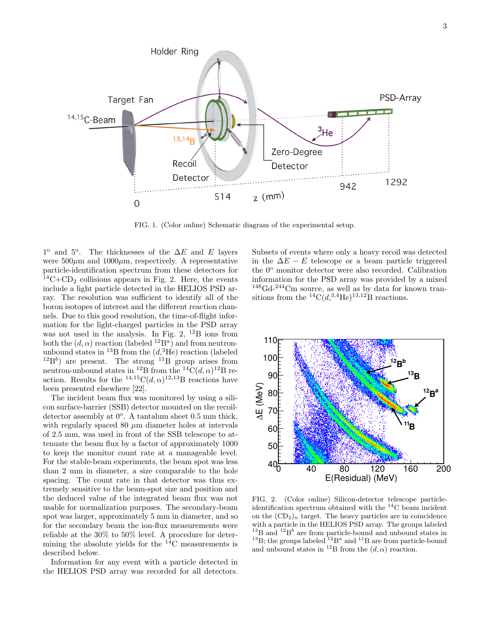

FIG. 1. (Color online) Schematic diagram of the experimental setup.

 $1^{\circ}$  and  $5^{\circ}$ . The thicknesses of the  $\Delta E$  and E layers were  $500\mu$ m and  $1000\mu$ m, respectively. A representative particle-identification spectrum from these detectors for  $^{14}C+CD_2$  collisions appears in Fig. 2. Here, the events include a light particle detected in the HELIOS PSD array. The resolution was sufficient to identify all of the boron isotopes of interest and the different reaction channels. Due to this good resolution, the time-of-flight information for the light-charged particles in the PSD array was not used in the analysis. In Fig. 2,  $^{12}B$  ions from both the  $(d, \alpha)$  reaction (labeled  $^{12}B^a$ ) and from neutronunbound states in <sup>13</sup>B from the  $(d, {^3He})$  reaction (labeled  $^{12}B^b$ ) are present. The strong  $^{11}B$  group arises from neutron-unbound states in <sup>12</sup>B from the <sup>14</sup>C( $d, \alpha$ )<sup>12</sup>B reaction. Results for the  $^{14,15}C(d, \alpha)^{12,13}B$  reactions have been presented elsewhere [22].

The incident beam flux was monitored by using a silicon surface-barrier (SSB) detector mounted on the recoildetector assembly at  $0^{\circ}$ . A tantalum sheet 0.5 mm thick, with regularly spaced 80  $\mu$ m diameter holes at intervals of 2.5 mm, was used in front of the SSB telescope to attenuate the beam flux by a factor of approximately 1000 to keep the monitor count rate at a manageable level. For the stable-beam experiments, the beam spot was less than 2 mm in diameter, a size comparable to the hole spacing. The count rate in that detector was thus extremely sensitive to the beam-spot size and position and the deduced value of the integrated beam flux was not usable for normalization purposes. The secondary-beam spot was larger, approximately 5 mm in diameter, and so for the secondary beam the ion-flux measurements were reliable at the 30% to 50% level. A procedure for determining the absolute yields for the  $14^{\circ}$ C measurements is described below.

Information for any event with a particle detected in the HELIOS PSD array was recorded for all detectors. Subsets of events where only a heavy recoil was detected in the  $\Delta E - E$  telescope or a beam particle triggered the  $0^{\circ}$  monitor detector were also recorded. Calibration information for the PSD array was provided by a mixed  $148\text{Gd}$ - $244\text{Cm}$  source, as well as by data for known transitions from the  ${}^{14}C(d, {}^{3,4}He)^{13,12}B$  reactions.



FIG. 2. (Color online) Silicon-detector telescope particleidentification spectrum obtained with the <sup>14</sup>C beam incident on the  $(CD_2)_n$  target. The heavy particles are in coincidence with a particle in the HELIOS PSD array. The groups labeled  $^{13}$ B and  $^{12}$ B<sup>b</sup> are from particle-bound and unbound states in <sup>13</sup>B; the groups labeled <sup>12</sup>B<sup>a</sup> and <sup>11</sup>B are from particle-bound and unbound states in <sup>12</sup>B from the  $(d, \alpha)$  reaction.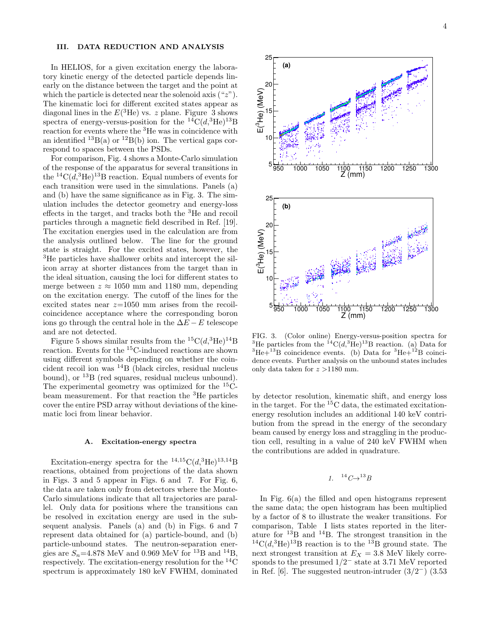#### III. DATA REDUCTION AND ANALYSIS

In HELIOS, for a given excitation energy the laboratory kinetic energy of the detected particle depends linearly on the distance between the target and the point at which the particle is detected near the solenoid axis  $({}^{\omega}z^{\omega})$ . The kinematic loci for different excited states appear as diagonal lines in the  $E(^3\text{He})$  vs. z plane. Figure 3 shows spectra of energy-versus-position for the  ${}^{14}C(d, {}^{3}He) {}^{13}B$ reaction for events where the <sup>3</sup>He was in coincidence with an identified  $^{13}B(a)$  or  $^{12}B(b)$  ion. The vertical gaps correspond to spaces between the PSDs.

For comparison, Fig. 4 shows a Monte-Carlo simulation of the response of the apparatus for several transitions in the  ${}^{14}C(d, {}^{3}He) {}^{13}B$  reaction. Equal numbers of events for each transition were used in the simulations. Panels (a) and (b) have the same significance as in Fig. 3. The simulation includes the detector geometry and energy-loss effects in the target, and tracks both the <sup>3</sup>He and recoil particles through a magnetic field described in Ref. [19]. The excitation energies used in the calculation are from the analysis outlined below. The line for the ground state is straight. For the excited states, however, the <sup>3</sup>He particles have shallower orbits and intercept the silicon array at shorter distances from the target than in the ideal situation, causing the loci for different states to merge between  $z \approx 1050$  mm and 1180 mm, depending on the excitation energy. The cutoff of the lines for the excited states near  $z=1050$  mm arises from the recoilcoincidence acceptance where the corresponding boron ions go through the central hole in the  $\Delta E - E$  telescope and are not detected.

Figure 5 shows similar results from the  ${}^{15}C(d,{}^{3}He){}^{14}B$ reaction. Events for the <sup>15</sup>C-induced reactions are shown using different symbols depending on whether the coincident recoil ion was <sup>14</sup>B (black circles, residual nucleus bound), or <sup>13</sup>B (red squares, residual nucleus unbound). The experimental geometry was optimized for the  $^{15}C$ beam measurement. For that reaction the <sup>3</sup>He particles cover the entire PSD array without deviations of the kinematic loci from linear behavior.

#### A. Excitation-energy spectra

Excitation-energy spectra for the  $^{14,15}C(d,^{3}He)^{13,14}B$ reactions, obtained from projections of the data shown in Figs. 3 and 5 appear in Figs. 6 and 7. For Fig. 6, the data are taken only from detectors where the Monte-Carlo simulations indicate that all trajectories are parallel. Only data for positions where the transitions can be resolved in excitation energy are used in the subsequent analysis. Panels (a) and (b) in Figs. 6 and 7 represent data obtained for (a) particle-bound, and (b) particle-unbound states. The neutron-separation energies are  $S_n$ =4.878 MeV and 0.969 MeV for <sup>13</sup>B and <sup>14</sup>B, respectively. The excitation-energy resolution for the  ${}^{14}$ C spectrum is approximately 180 keV FWHM, dominated



FIG. 3. (Color online) Energy-versus-position spectra for <sup>3</sup>He particles from the <sup>14</sup>C( $d$ ,<sup>3</sup>He)<sup>13</sup>B reaction. (a) Data for  ${}^{3}\text{He} + {}^{13}\text{B}$  coincidence events. (b) Data for  ${}^{3}\text{He} + {}^{12}\text{B}$  coincidence events. Further analysis on the unbound states includes only data taken for  $z > 1180$  mm.

by detector resolution, kinematic shift, and energy loss in the target. For the  ${}^{15}C$  data, the estimated excitationenergy resolution includes an additional 140 keV contribution from the spread in the energy of the secondary beam caused by energy loss and straggling in the production cell, resulting in a value of 240 keV FWHM when the contributions are added in quadrature.

$$
1. \quad {}^{14}C \rightarrow {}^{13}B
$$

In Fig. 6(a) the filled and open histograms represent the same data; the open histogram has been multiplied by a factor of 8 to illustrate the weaker transitions. For comparison, Table I lists states reported in the literature for  $^{13}B$  and  $^{14}B$ . The strongest transition in the  ${}^{14}C(d, {}^{3}He) {}^{13}B$  reaction is to the  ${}^{13}B$  ground state. The next strongest transition at  $E_X = 3.8$  MeV likely corresponds to the presumed 1/2<sup>−</sup> state at 3.71 MeV reported in Ref. [6]. The suggested neutron-intruder  $(3/2^-)$  (3.53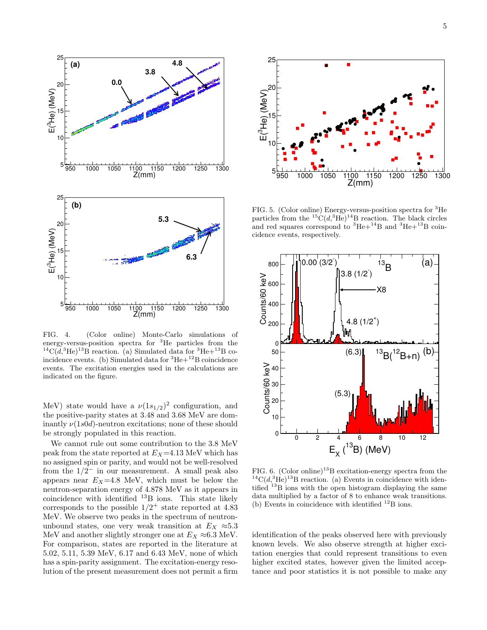

FIG. 4. (Color online) Monte-Carlo simulations of energy-versus-position spectra for <sup>3</sup>He particles from the <sup>14</sup>C( $d$ ,<sup>3</sup>He)<sup>13</sup>B reaction. (a) Simulated data for <sup>3</sup>He+<sup>13</sup>B coincidence events. (b) Simulated data for  ${}^{3}\text{He}+{}^{12}\text{B}$  coincidence events. The excitation energies used in the calculations are indicated on the figure.

MeV) state would have a  $\nu(1s_{1/2})^2$  configuration, and the positive-parity states at 3.48 and 3.68 MeV are dominantly  $\nu(1s0d)$ -neutron excitations; none of these should be strongly populated in this reaction.

We cannot rule out some contribution to the 3.8 MeV peak from the state reported at  $E_X=4.13$  MeV which has no assigned spin or parity, and would not be well-resolved from the  $1/2^-$  in our measurement. A small peak also appears near  $E_X=4.8$  MeV, which must be below the neutron-separation energy of 4.878 MeV as it appears in coincidence with identified <sup>13</sup>B ions. This state likely corresponds to the possible  $1/2^+$  state reported at 4.83 MeV. We observe two peaks in the spectrum of neutronunbound states, one very weak transition at  $E_X \approx 5.3$ MeV and another slightly stronger one at  $E_X \approx 6.3$  MeV. For comparison, states are reported in the literature at 5.02, 5.11, 5.39 MeV, 6.17 and 6.43 MeV, none of which has a spin-parity assignment. The excitation-energy resolution of the present measurement does not permit a firm



FIG. 5. (Color online) Energy-versus-position spectra for <sup>3</sup>He particles from the  ${}^{15}C(d,{}^{3}He)^{14}B$  reaction. The black circles and red squares correspond to  ${}^{3}$ He+ ${}^{14}$ B and  ${}^{3}$ He+ ${}^{13}$ B coincidence events, respectively.



FIG. 6. (Color online)<sup>13</sup>B excitation-energy spectra from the  ${}^{14}C(d, {}^{3}He)^{13}B$  reaction. (a) Events in coincidence with identified <sup>13</sup>B ions with the open histogram displaying the same data multiplied by a factor of 8 to enhance weak transitions. (b) Events in coincidence with identified  $^{12}$ B ions.

identification of the peaks observed here with previously known levels. We also observe strength at higher excitation energies that could represent transitions to even higher excited states, however given the limited acceptance and poor statistics it is not possible to make any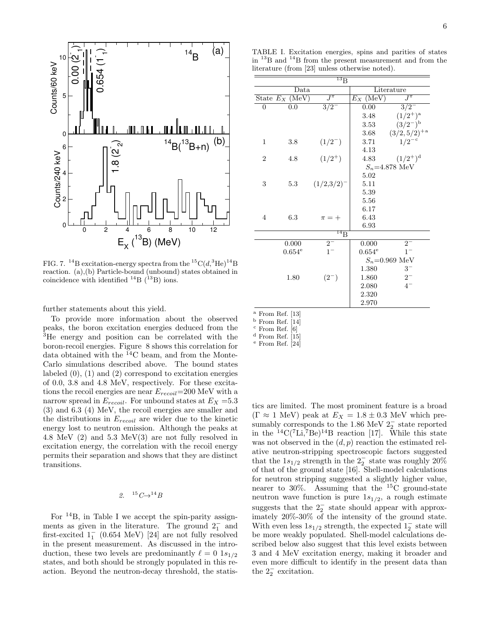

FIG. 7. <sup>14</sup>B excitation-energy spectra from the  ${}^{15}C(d, {}^{3}He)^{14}B$ reaction. (a),(b) Particle-bound (unbound) states obtained in coincidence with identified  $^{14}$ B ( $^{13}$ B) ions.

further statements about this yield.

To provide more information about the observed peaks, the boron excitation energies deduced from the <sup>3</sup>He energy and position can be correlated with the boron-recoil energies. Figure 8 shows this correlation for data obtained with the  ${}^{14}$ C beam, and from the Monte-Carlo simulations described above. The bound states labeled  $(0)$ ,  $(1)$  and  $(2)$  correspond to excitation energies of 0.0, 3.8 and 4.8 MeV, respectively. For these excitations the recoil energies are near  $E_{recoil}=200$  MeV with a narrow spread in  $E_{recoil}$ . For unbound states at  $E_X = 5.3$ (3) and 6.3 (4) MeV, the recoil energies are smaller and the distributions in  $E_{recoil}$  are wider due to the kinetic energy lost to neutron emission. Although the peaks at 4.8 MeV (2) and 5.3 MeV(3) are not fully resolved in excitation energy, the correlation with the recoil energy permits their separation and shows that they are distinct transitions.

# 2.  $15 C \rightarrow 14 B$

For <sup>14</sup>B, in Table I we accept the spin-parity assignments as given in the literature. The ground  $2<sub>1</sub><sup>-</sup>$  and first-excited  $1_1^-$  (0.654 MeV) [24] are not fully resolved in the present measurement. As discussed in the introduction, these two levels are predominantly  $\ell = 0$  1s<sub>1/2</sub> states, and both should be strongly populated in this reaction. Beyond the neutron-decay threshold, the statis-

TABLE I. Excitation energies, spins and parities of states in <sup>13</sup>B and <sup>14</sup>B from the present measurement and from the literature (from [23] unless otherwise noted).

| $^{13}\mathrm{B}$ |                      |                 |                           |                           |  |  |  |
|-------------------|----------------------|-----------------|---------------------------|---------------------------|--|--|--|
|                   | Data                 |                 | Literature                |                           |  |  |  |
|                   | State $E_X$ (MeV)    | $\bar{J}^{\pi}$ | $E_X$ (MeV)               | $J^{\overline{\pi}}$      |  |  |  |
| $\overline{0}$    | 0.0                  | $\frac{3}{2}$   | 0.00                      | $3/2^{-}$                 |  |  |  |
|                   |                      |                 | 3.48                      | $(1/2^+)^{\rm a}$         |  |  |  |
|                   |                      |                 | 3.53                      | $(3/2)^{b}$               |  |  |  |
|                   |                      |                 | 3.68                      | $(3/2,5/2)^{+\mathrm{a}}$ |  |  |  |
| $\mathbf{1}$      | 3.8                  | $(1/2^{-})$     | 3.71                      | $1/2^{-c}$                |  |  |  |
|                   |                      |                 | 4.13                      |                           |  |  |  |
| $\overline{2}$    | 4.8                  | $(1/2^+)$       | 4.83                      | $(1/2^+)^d$               |  |  |  |
|                   |                      |                 | $S_n = 4.878 \text{ MeV}$ |                           |  |  |  |
|                   |                      |                 | 5.02                      |                           |  |  |  |
| 3                 | 5.3                  | $(1/2,3/2)^{-}$ | 5.11                      |                           |  |  |  |
|                   |                      |                 | 5.39                      |                           |  |  |  |
|                   |                      |                 | 5.56                      |                           |  |  |  |
|                   |                      |                 | 6.17                      |                           |  |  |  |
| $\overline{4}$    | 6.3                  | $\pi = +$       | 6.43                      |                           |  |  |  |
|                   |                      |                 | 6.93                      |                           |  |  |  |
|                   |                      | $^{14}$ B       |                           |                           |  |  |  |
|                   | 0.000                | $2^{-}$         | 0.000                     | $2^{-}$                   |  |  |  |
|                   | $0.654^{\mathrm{e}}$ | $1-$            | $0.654^{\rm e}$           | $1^{-}$                   |  |  |  |
|                   |                      |                 | $S_n = 0.969$ MeV         |                           |  |  |  |
|                   |                      |                 | 1.380                     | $3-$                      |  |  |  |
|                   | 1.80                 | $(2^{-})$       | 1.860                     | $2^{-}$                   |  |  |  |
|                   |                      |                 | 2.080                     | $4-$                      |  |  |  |
|                   |                      |                 | 2.320                     |                           |  |  |  |
|                   |                      |                 | 2.970                     |                           |  |  |  |

 $^{\rm a}$  From Ref. [13]

<sup>b</sup> From Ref. [14]

 $^{\rm c}$  From Ref.  $[6]$ 

 $d$  From Ref. [15]

<sup>e</sup> From Ref. [24]

tics are limited. The most prominent feature is a broad  $(\Gamma \approx 1 \text{ MeV})$  peak at  $E_X = 1.8 \pm 0.3 \text{ MeV}$  which presumably corresponds to the 1.86 MeV  $2<sub>2</sub><sup>-</sup>$  state reported in the  ${}^{14}C({}^{7}Li,{}^{7}Be){}^{14}B$  reaction [17]. While this state was not observed in the  $(d, p)$  reaction the estimated relative neutron-stripping spectroscopic factors suggested that the  $1s_{1/2}$  strength in the  $2<sub>2</sub><sup>-</sup>$  state was roughly 20% of that of the ground state [16]. Shell-model calculations for neutron stripping suggested a slightly higher value, nearer to  $30\%$ . Assuming that the <sup>15</sup>C ground-state neutron wave function is pure  $1s_{1/2}$ , a rough estimate suggests that the  $2<sub>2</sub><sup>-</sup>$  state should appear with approximately 20%-30% of the intensity of the ground state. With even less  $1s_{1/2}$  strength, the expected  $1^{-}_{2}$  state will be more weakly populated. Shell-model calculations described below also suggest that this level exists between 3 and 4 MeV excitation energy, making it broader and even more difficult to identify in the present data than the  $2^{\circ}$  excitation.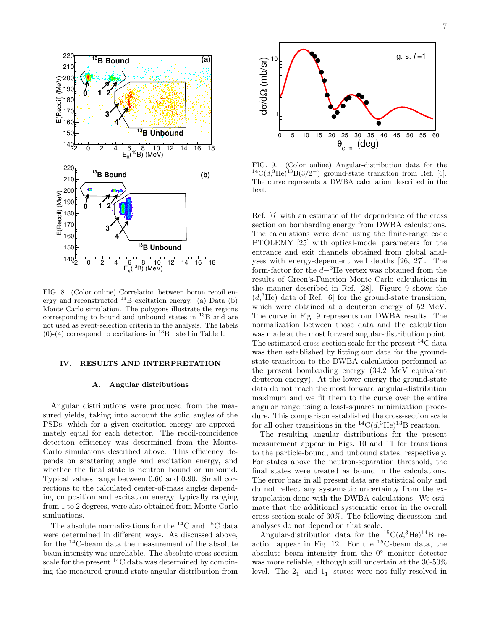

FIG. 8. (Color online) Correlation between boron recoil energy and reconstructed  $^{13}$ B excitation energy. (a) Data (b) Monte Carlo simulation. The polygons illustrate the regions corresponding to bound and unbound states in  $^{13}B$  and are not used as event-selection criteria in the analysis. The labels  $(0)-(4)$  correspond to excitations in <sup>13</sup>B listed in Table I.

#### IV. RESULTS AND INTERPRETATION

#### A. Angular distributions

Angular distributions were produced from the measured yields, taking into account the solid angles of the PSDs, which for a given excitation energy are approximately equal for each detector. The recoil-coincidence detection efficiency was determined from the Monte-Carlo simulations described above. This efficiency depends on scattering angle and excitation energy, and whether the final state is neutron bound or unbound. Typical values range between 0.60 and 0.90. Small corrections to the calculated center-of-mass angles depending on position and excitation energy, typically ranging from 1 to 2 degrees, were also obtained from Monte-Carlo simluations.

The absolute normalizations for the  ${}^{14}$ C and  ${}^{15}$ C data were determined in different ways. As discussed above, for the  $^{14}$ C-beam data the measurement of the absolute beam intensity was unreliable. The absolute cross-section scale for the present  ${}^{14}$ C data was determined by combining the measured ground-state angular distribution from



FIG. 9. (Color online) Angular-distribution data for the  $^{14}C(d,^{3}He)^{13}B(3/2^-)$  ground-state transition from Ref. [6]. The curve represents a DWBA calculation described in the text.

Ref. [6] with an estimate of the dependence of the cross section on bombarding energy from DWBA calculations. The calculations were done using the finite-range code PTOLEMY [25] with optical-model parameters for the entrance and exit channels obtained from global analyses with energy-dependent well depths [26, 27]. The form-factor for the  $d-$ <sup>3</sup>He vertex was obtained from the results of Green's-Function Monte Carlo calculations in the manner described in Ref. [28]. Figure 9 shows the  $(d,{}^{3}\text{He})$  data of Ref. [6] for the ground-state transition, which were obtained at a deuteron energy of 52 MeV. The curve in Fig. 9 represents our DWBA results. The normalization between those data and the calculation was made at the most forward angular-distribution point. The estimated cross-section scale for the present  ${}^{14}C$  data was then established by fitting our data for the groundstate transition to the DWBA calculation performed at the present bombarding energy (34.2 MeV equivalent deuteron energy). At the lower energy the ground-state data do not reach the most forward angular-distribution maximum and we fit them to the curve over the entire angular range using a least-squares minimization procedure. This comparison established the cross-section scale for all other transitions in the  ${}^{14}C(d,{}^{3}He)^{13}B$  reaction.

The resulting angular distributions for the present measurement appear in Figs. 10 and 11 for transitions to the particle-bound, and unbound states, respectively. For states above the neutron-separation threshold, the final states were treated as bound in the calculations. The error bars in all present data are statistical only and do not reflect any systematic uncertainty from the extrapolation done with the DWBA calculations. We estimate that the additional systematic error in the overall cross-section scale of 30%. The following discussion and analyses do not depend on that scale.

Angular-distribution data for the  ${}^{15}C(d,{}^{3}He){}^{14}B$  reaction appear in Fig. 12. For the  ${}^{15}$ C-beam data, the absolute beam intensity from the 0◦ monitor detector was more reliable, although still uncertain at the 30-50% level. The  $2<sub>1</sub><sup>-</sup>$  and  $1<sub>1</sub><sup>-</sup>$  states were not fully resolved in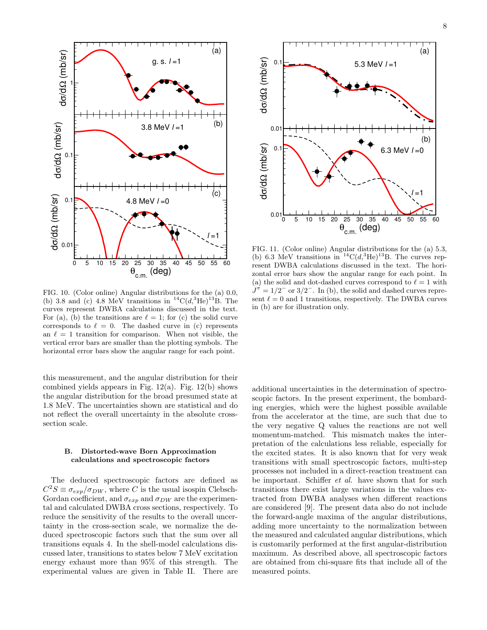

FIG. 10. (Color online) Angular distributions for the (a) 0.0, (b) 3.8 and (c) 4.8 MeV transitions in  ${}^{14}C(d,{}^{3}He)^{13}B$ . The curves represent DWBA calculations discussed in the text. For (a), (b) the transitions are  $\ell = 1$ ; for (c) the solid curve corresponds to  $\ell = 0$ . The dashed curve in (c) represents an  $\ell = 1$  transition for comparison. When not visible, the vertical error bars are smaller than the plotting symbols. The horizontal error bars show the angular range for each point.

this measurement, and the angular distribution for their combined yields appears in Fig.  $12(a)$ . Fig.  $12(b)$  shows the angular distribution for the broad presumed state at 1.8 MeV. The uncertainties shown are statistical and do not reflect the overall uncertainty in the absolute crosssection scale.

#### B. Distorted-wave Born Approximation calculations and spectroscopic factors

The deduced spectroscopic factors are defined as  $C^2S \equiv \sigma_{exp}/\sigma_{DW}$ , where C is the usual isospin Clebsch-Gordan coefficient, and  $\sigma_{exp}$  and  $\sigma_{DW}$  are the experimental and calculated DWBA cross sections, respectively. To reduce the sensitivity of the results to the overall uncertainty in the cross-section scale, we normalize the deduced spectroscopic factors such that the sum over all transitions equals 4. In the shell-model calculations discussed later, transitions to states below 7 MeV excitation energy exhaust more than 95% of this strength. The experimental values are given in Table II. There are



FIG. 11. (Color online) Angular distributions for the (a) 5.3, (b) 6.3 MeV transitions in  $^{14}C(d,^{3}He)^{13}B$ . The curves represent DWBA calculations discussed in the text. The horizontal error bars show the angular range for each point. In (a) the solid and dot-dashed curves correspond to  $\ell = 1$  with  $J^{\pi} = 1/2^-$  or  $3/2^-$ . In (b), the solid and dashed curves represent  $\ell = 0$  and 1 transitions, respectively. The DWBA curves in (b) are for illustration only.

additional uncertainties in the determination of spectroscopic factors. In the present experiment, the bombarding energies, which were the highest possible available from the accelerator at the time, are such that due to the very negative Q values the reactions are not well momentum-matched. This mismatch makes the interpretation of the calculations less reliable, especially for the excited states. It is also known that for very weak transitions with small spectroscopic factors, multi-step processes not included in a direct-reaction treatment can be important. Schiffer *et al.* have shown that for such transitions there exist large variations in the values extracted from DWBA analyses when different reactions are considered [9]. The present data also do not include the forward-angle maxima of the angular distributions, adding more uncertainty to the normalization between the measured and calculated angular distributions, which is customarily performed at the first angular-distribution maximum. As described above, all spectroscopic factors are obtained from chi-square fits that include all of the measured points.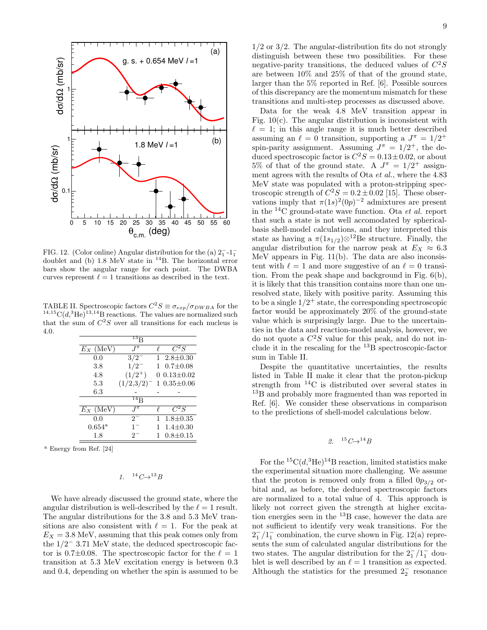

FIG. 12. (Color online) Angular distribution for the (a)  $2<sub>1</sub><sup>-1</sup>$ -1<sup>-1</sup> FIG. 12. (Color offine) Angular distribution for the  $(a)$   $2_1 - 1_1$ <br>doublet and (b) 1.8 MeV state in <sup>14</sup>B. The horizontal error bars show the angular range for each point. The DWBA curves represent  $\ell = 1$  transitions as described in the text.

TABLE II. Spectroscopic factors  $C^2S \equiv \sigma_{exp}/\sigma_{DWBA}$  for the  $14,15C(d,3\text{He})$ <sup>13,14</sup>B reactions. The values are normalized such that the sum of  $C^2S$  over all transitions for each nucleus is 4.0.

| $^{13}$ B       |                 |   |                  |  |  |  |  |  |
|-----------------|-----------------|---|------------------|--|--|--|--|--|
| $E_X$ (MeV)     | $I^{\pi}$       |   | $C^2S$           |  |  |  |  |  |
| 0.0             | $3/2^{-}$       | 1 | $2.8 \pm 0.30$   |  |  |  |  |  |
| 3.8             | $1/2^{-}$       |   | $0.7 \pm 0.08$   |  |  |  |  |  |
| 4.8             | $(1/2^{+})$     |   | $0.13 \pm 0.02$  |  |  |  |  |  |
| 5.3             | $(1/2,3/2)^{-}$ |   | $1\;0.35\pm0.06$ |  |  |  |  |  |
| $6.3\,$         |                 |   |                  |  |  |  |  |  |
|                 | $^{14}$ B       |   |                  |  |  |  |  |  |
| $E_X$ (MeV)     | $I^{\pi}$       |   | $C^2S$           |  |  |  |  |  |
| 0.0             | $2^{-}$         |   | $1.8 \pm 0.35$   |  |  |  |  |  |
| $0.654^{\rm a}$ | $1^-$           |   | $1.4 \pm 0.30$   |  |  |  |  |  |
| 1.8             | $2^-$           |   | $0.8 \pm 0.15$   |  |  |  |  |  |

<sup>a</sup> Energy from Ref. [24]

$$
1. \quad {}^{14}C \rightarrow {}^{13}B
$$

We have already discussed the ground state, where the angular distribution is well-described by the  $\ell = 1$  result. The angular distributions for the 3.8 and 5.3 MeV transitions are also consistent with  $\ell = 1$ . For the peak at  $E_X = 3.8$  MeV, assuming that this peak comes only from the 1/2<sup>−</sup> 3.71 MeV state, the deduced spectroscopic factor is 0.7 $\pm$ 0.08. The spectroscopic factor for the  $\ell = 1$ transition at 5.3 MeV excitation energy is between 0.3 and 0.4, depending on whether the spin is assumed to be

 $1/2$  or  $3/2$ . The angular-distribution fits do not strongly distinguish between these two possibilities. For these negative-parity transitions, the deduced values of  $C^2S$ are between 10% and 25% of that of the ground state, larger than the 5% reported in Ref. [6]. Possible sources of this discrepancy are the momentum mismatch for these transitions and multi-step processes as discussed above.

Data for the weak 4.8 MeV transition appear in Fig. 10(c). The angular distribution is inconsistent with  $\ell = 1$ ; in this angle range it is much better described assuming an  $\ell = 0$  transition, supporting a  $J^{\pi} = 1/2^{+}$ spin-parity assignment. Assuming  $J^{\pi} = 1/2^{+}$ , the deduced spectroscopic factor is  $C^2S = 0.13 \pm 0.02$ , or about 5% of that of the ground state. A  $J^{\pi} = 1/2^{+}$  assignment agrees with the results of Ota et al., where the 4.83 MeV state was populated with a proton-stripping spectroscopic strength of  $C^2S = 0.2 \pm 0.02$  [15]. These observations imply that  $\pi(1s)^2(0p)^{-2}$  admixtures are present in the  $^{14}$ C ground-state wave function. Ota *et al.* report that such a state is not well accomodated by sphericalbasis shell-model calculations, and they interpreted this state as having a  $\pi(1s_{1/2})\otimes^{12}$ Be structure. Finally, the angular distribution for the narrow peak at  $E_X\,\approx\,6.3$ MeV appears in Fig. 11(b). The data are also inconsistent with  $\ell = 1$  and more suggestive of an  $\ell = 0$  transition. From the peak shape and background in Fig. 6(b), it is likely that this transition contains more than one unresolved state, likely with positive parity. Assuming this to be a single  $1/2^+$  state, the corresponding spectroscopic factor would be approximately 20% of the ground-state value which is surprisingly large. Due to the uncertainties in the data and reaction-model analysis, however, we do not quote a  $C^2S$  value for this peak, and do not include it in the rescaling for the <sup>13</sup>B spectroscopic-factor sum in Table II.

Despite the quantitative uncertainties, the results listed in Table II make it clear that the proton-pickup strength from <sup>14</sup>C is distributed over several states in <sup>13</sup>B and probably more fragmented than was reported in Ref. [6]. We consider these observations in comparison to the predictions of shell-model calculations below.

#### $15\,C\rightarrow$   $14\,B$

For the  ${}^{15}C(d,{}^{3}He){}^{14}B$  reaction, limited statistics make the experimental situation more challenging. We assume that the proton is removed only from a filled  $0p_{3/2}$  orbital and, as before, the deduced spectroscopic factors are normalized to a total value of 4. This approach is likely not correct given the strength at higher excitation energies seen in the  $^{13}$ B case, however the data are not sufficient to identify very weak transitions. For the  $2^{-}_{1}/1^{-}_{1}$  combination, the curve shown in Fig. 12(a) represents the sum of calculated angular distributions for the two states. The angular distribution for the  $2^{-}_{1}/1^{-}_{1}$  doublet is well described by an  $\ell = 1$  transition as expected. Although the statistics for the presumed  $2^{\text{-}}_2$  resonance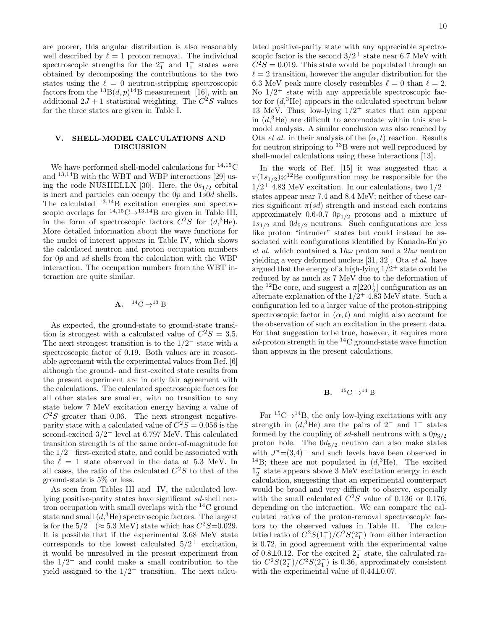are poorer, this angular distribution is also reasonably well described by  $\ell = 1$  proton removal. The individual spectroscopic strengths for the  $2<sub>1</sub><sup>-</sup>$  and  $1<sub>1</sub><sup>-</sup>$  states were obtained by decomposing the contributions to the two states using the  $\ell = 0$  neutron-stripping spectroscopic factors from the  $^{13}B(d, p)^{14}B$  measurement [16], with an additional  $2J + 1$  statistical weighting. The  $C^2S$  values for the three states are given in Table I.

#### V. SHELL-MODEL CALCULATIONS AND DISCUSSION

We have performed shell-model calculations for  $^{14,15}\mathrm{C}$ and <sup>13</sup>,14B with the WBT and WBP interactions [29] using the code NUSHELLX [30]. Here, the  $0s_{1/2}$  orbital is inert and particles can occupy the 0p and 1s0d shells. The calculated <sup>13</sup>,14B excitation energies and spectroscopic overlaps for  $^{14,15}C \rightarrow ^{13,14}B$  are given in Table III, in the form of spectroscopic factors  $C^2S$  for  $(d, {}^{3}\text{He})$ . More detailed information about the wave functions for the nuclei of interest appears in Table IV, which shows the calculated neutron and proton occupation numbers for  $0p$  and  $sd$  shells from the calculation with the WBP interaction. The occupation numbers from the WBT interaction are quite similar.

$$
A. \quad {}^{14}C \rightarrow {}^{13}B
$$

As expected, the ground-state to ground-state transition is strongest with a calculated value of  $C^2S = 3.5$ . The next strongest transition is to the  $1/2^-$  state with a spectroscopic factor of 0.19. Both values are in reasonable agreement with the experimental values from Ref. [6] although the ground- and first-excited state results from the present experiment are in only fair agreement with the calculations. The calculated spectroscopic factors for all other states are smaller, with no transition to any state below 7 MeV excitation energy having a value of  $C<sup>2</sup>S$  greater than 0.06. The next strongest negativeparity state with a calculated value of  $C^2S = 0.056$  is the second-excited  $3/2^-$  level at 6.797 MeV. This calculated transition strength is of the same order-of-magnitude for the 1/2<sup>−</sup> first-excited state, and could be associated with the  $\ell = 1$  state observed in the data at 5.3 MeV. In all cases, the ratio of the calculated  $C^2S$  to that of the ground-state is 5% or less.

As seen from Tables III and IV, the calculated lowlying positive-parity states have significant sd-shell neutron occupation with small overlaps with the <sup>14</sup>C ground state and small  $(d<sup>3</sup>He)$  spectroscopic factors. The largest is for the  $5/2^+$  ( $\approx 5.3$  MeV) state which has  $C^2S=0.029$ . It is possible that if the experimental 3.68 MeV state corresponds to the lowest calculated  $5/2^+$  excitation, it would be unresolved in the present experiment from the  $1/2^-$  and could make a small contribution to the yield assigned to the  $1/2^-$  transition. The next calculated positive-parity state with any appreciable spectroscopic factor is the second  $3/2^+$  state near 6.7 MeV with  $C^2S = 0.019$ . This state would be populated through an  $\ell = 2$  transition, however the angular distribution for the 6.3 MeV peak more closely resembles  $\ell = 0$  than  $\ell = 2$ . No  $1/2$ <sup>+</sup> state with any appreciable spectroscopic factor for  $(d,{}^{3}\text{He})$  appears in the calculated spectrum below 13 MeV. Thus, low-lying  $1/2^+$  states that can appear in  $(d<sup>3</sup>He)$  are difficult to accomodate within this shellmodel analysis. A similar conclusion was also reached by Ota *et al.* in their analysis of the  $(\alpha, t)$  reaction. Results for neutron stripping to  $^{13}$ B were not well reproduced by shell-model calculations using these interactions [13].

In the work of Ref. [15] it was suggested that a  $\pi(1s_{1/2})\otimes^{12}$ Be configuration may be responsible for the  $1/2^+$  4.83 MeV excitation. In our calculations, two  $1/2^+$ states appear near 7.4 and 8.4 MeV; neither of these carries significant  $\pi(sd)$  strength and instead each contains approximately 0.6-0.7  $0p_{1/2}$  protons and a mixture of  $1s_{1/2}$  and  $0d_{5/2}$  neutrons. Such configurations are less like proton "intruder" states but could instead be associated with configurations identified by Kanada-En'yo et al. which contained a  $1\hbar\omega$  proton and a  $2\hbar\omega$  neutron yielding a very deformed nucleus [31, 32]. Ota et al. have argued that the energy of a high-lying  $1/2^+$  state could be reduced by as much as 7 MeV due to the deformation of the <sup>12</sup>Be core, and suggest a  $\pi$ [220<sup>1</sup>/<sub>2</sub>] configuration as an alternate explanation of the  $1/2^+$  4.83 MeV state. Such a configuration led to a larger value of the proton-stripping spectroscopic factor in  $(\alpha, t)$  and might also account for the observation of such an excitation in the present data. For that suggestion to be true, however, it requires more  $sd$ -proton strength in the <sup>14</sup>C ground-state wave function than appears in the present calculations.

## **B.**  ${}^{15}C \rightarrow {}^{14}B$

For  ${}^{15}C \rightarrow {}^{14}B$ , the only low-lying excitations with any strength in  $(d,{}^{3}\text{He})$  are the pairs of 2<sup>-</sup> and 1<sup>-</sup> states formed by the coupling of sd-shell neutrons with a  $0p_{3/2}$ proton hole. The  $0d_{5/2}$  neutron can also make states with  $J^{\pi}$ =(3,4)<sup>-</sup> and such levels have been observed in <sup>14</sup>B; these are not populated in  $(d, {}^{3}He)$ . The excited  $1<sub>2</sub>$  state appears above 3 MeV excitation energy in each calculation, suggesting that an experimental counterpart would be broad and very difficult to observe, especially with the small calculated  $C^2S$  value of 0.136 or 0.176, depending on the interaction. We can compare the calculated ratios of the proton-removal spectroscopic factors to the observed values in Table II. The calculatied ratio of  $C^2S(1_1^-)/C^2S(2_1^-)$  from either interaction is 0.72, in good agreement with the experimental value of  $0.8\pm0.12$ . For the excited  $2^{\degree}$  state, the calculated ratio  $C^2S(2_2^-)/C^2S(2_1^-)$  is 0.36, approximately consistent with the experimental value of  $0.44\pm0.07$ .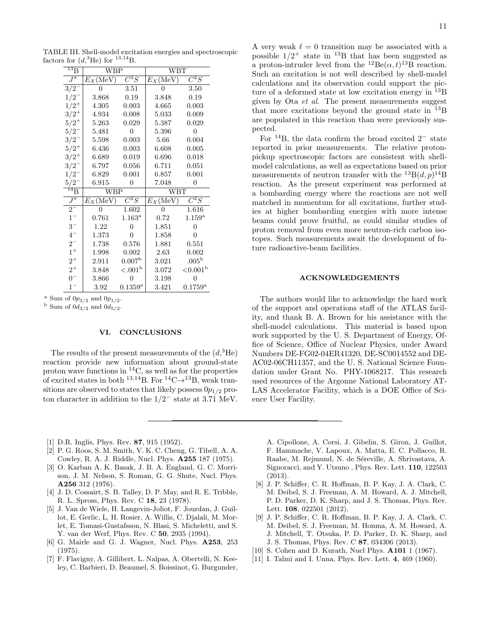TABLE III. Shell-model excitation energies and spectroscopic factors for  $(d,{}^{3}\text{He})$  for  $^{13,14}\text{B}$ .

| $^{13}$ B                  | <b>WBP</b>        |                          | <b>WBT</b>        |                       |  |  |
|----------------------------|-------------------|--------------------------|-------------------|-----------------------|--|--|
| $J^\pi$                    | $E_X(\text{MeV})$ | $\overline{C^2S}$        | $E_X(\text{MeV})$ | $\overline{C^2S}$     |  |  |
| $\overline{3/2}$           | 0                 | 3.51                     | 0                 | 3.50                  |  |  |
| 1/2                        | 3.868             | 0.19                     | 3.848             | 0.19                  |  |  |
| $1/2^{+}$                  | 4.305             | 0.003                    | 4.665             | 0.003                 |  |  |
| $3/2^+$                    | 4.934             | 0.008                    | 5.033             | 0.009                 |  |  |
| $5/2^+$                    | 5.263             | 0.029                    | 5.387             | 0.029                 |  |  |
| 5/2                        | 5.481             | $\Omega$                 | 5.396             | 0                     |  |  |
| 3/2                        | 5.598             | 0.003                    | 5.66              | 0.004                 |  |  |
| $5/2^+$                    | 6.436             | 0.003                    | 6.608             | 0.005                 |  |  |
| $3/2^+$                    | 6.689             | 0.019                    | 6.696             | 0.018                 |  |  |
| 3/2                        | 6.797             | 0.056                    | 6.711             | 0.051                 |  |  |
| 1/2                        | 6.829             | 0.001                    | 6.857             | 0.001                 |  |  |
|                            |                   |                          |                   |                       |  |  |
| 5/2                        | 6.915             | $\Omega$                 | 7.048             | 0                     |  |  |
| $\overline{^{14}\text{B}}$ | <b>WBP</b>        |                          | <b>WBT</b>        |                       |  |  |
| $J^{\pi}$                  | $E_X(\text{MeV})$ | $\overline{C}{}^2S$      | $E_X(\text{MeV})$ | $\overline{C}{}^2S$   |  |  |
| $\overline{2^{-}}$         |                   | 1.602                    |                   | 1.616                 |  |  |
| $1-$                       | 0.761             | $1.163^{\rm a}$          | 0.72              | $1.159^{\rm a}$       |  |  |
| $3-$                       | 1.22              | $\theta$                 | 1.851             | 0                     |  |  |
| $4-$                       | 1.373             | 0                        | 1.858             | 0                     |  |  |
| $2^{-}$                    | 1.738             | 0.576                    | 1.881             | 0.551                 |  |  |
| $1^+$                      | 1.998             | 0.002                    | 2.63              | 0.002                 |  |  |
| $2^+$                      | 2.911             | 0.007 <sup>b</sup>       | 3.021             | .005 <sup>b</sup>     |  |  |
| $2^+$                      | 3.848             | ${<}.001^{\rm b}$        | 3.072             | ${<}0.001b$           |  |  |
| $0-$                       | 3.866             | $\Omega$<br>$0.1359^{a}$ | 3.198             | 0<br>$0.1759^{\rm a}$ |  |  |

<sup>a</sup> Sum of  $0p_{3/2}$  and  $0p_{1/2}$ .

<sup>b</sup> Sum of  $0d_{3/2}$  and  $0d_{5/2}$ .

#### VI. CONCLUSIONS

The results of the present measurements of the  $(d,{}^{3}\text{He})$ reaction provide new information about ground-state proton wave functions in <sup>14</sup>C, as well as for the properties of excited states in both <sup>13,14</sup>B. For <sup>14</sup>C $\rightarrow$ <sup>13</sup>B, weak transitions are observed to states that likely possess  $0p_{1/2}$  proton character in addition to the  $1/2^-$  state at 3.71 MeV. 11

A very weak  $\ell = 0$  transition may be associated with a possible  $1/2^+$  state in <sup>13</sup>B that has been suggested as a proton-intruder level from the  ${}^{12}Be(\alpha, t){}^{13}B$  reaction. Such an excitation is not well described by shell-model calculations and its observation could support the picture of a deformed state at low excitation energy in <sup>13</sup>B given by Ota et al. The present measurements suggest that more excitations beyond the ground state in  $^{13}B$ are populated in this reaction than were previously suspected.

For  $14B$ , the data confirm the broad excited  $2^-$  state reported in prior measurements. The relative protonpickup spectroscopic factors are consistent with shellmodel calculations, as well as expectations based on prior measurements of neutron transfer with the  $^{13}B(d, p)^{14}B$ reaction. As the present experiment was performed at a bombarding energy where the reactions are not well matched in momentum for all excitations, further studies at higher bombarding energies with more intense beams could prove fruitful, as could similar studies of proton removal from even more neutron-rich carbon isotopes. Such measurements await the development of future radioactive-beam facilities.

#### ACKNOWLEDGEMENTS

The authors would like to acknowledge the hard work of the support and operations staff of the ATLAS facility, and thank B. A. Brown for his assistance with the shell-model calculations. This material is based upon work supported by the U. S. Department of Energy, Office of Science, Office of Nuclear Physics, under Award Numbers DE-FG02-04ER41320, DE-SC0014552 and DE-AC02-06CH11357, and the U. S. National Science Foundation under Grant No. PHY-1068217. This research used resources of the Argonne National Laboratory AT-LAS Accelerator Facility, which is a DOE Office of Science User Facility.

- [1] D.R. Inglis, Phys. Rev. 87, 915 (1952).
- [2] P. G. Roos, S. M. Smith, V. K. C. Cheng, G. Tibell, A. A. Cowley, R. A. J. Riddle, Nucl. Phys. A255 187 (1975).
- [3] O. Karban A. K. Basak, J. B. A. England, G. C. Morrison, J. M. Nelson, S. Roman, G. G. Shute, Nucl. Phys. A256 312 (1976).
- [4] J. D. Cossairt, S. B. Talley, D. P. May, and R. E. Tribble, R. L. Spross, Phys. Rev. C 18, 23 (1978).
- [5] J. Van de Wiele, H. Langevin-Joliot, F. Jourdan, J. Guillot, E. Gerlic, L. H. Rosier, A. Willis, C. Djalali, M. Morlet, E. Tomasi-Gustafsson, N. Blasi, S. Micheletti, and S. Y. van der Werf, Phys. Rev. C 50, 2935 (1994).
- [6] G. Mairle and G. J. Wagner, Nucl. Phys. A253, 253 (1975).
- [7] F. Flavigny, A. Gillibert, L. Nalpas, A. Obertelli, N. Keeley, C. Barbieri, D. Beaumel, S. Boissinot, G. Burgunder,

A. Cipollone, A. Corsi, J. Gibelin, S. Giron, J. Guillot, F. Hammache, V. Lapoux, A. Matta, E. C. Pollacco, R. Raabe, M. Rejmund, N. de Séreville, A. Shrivastava, A. Signoracci, and Y. Utsuno , Phys. Rev. Lett. 110, 122503 (2013).

- [8] J. P. Schiffer, C. R. Hoffman, B. P. Kay, J. A. Clark, C. M. Deibel, S. J. Freeman, A. M. Howard, A. J. Mitchell, P. D. Parker, D. K. Sharp, and J. S. Thomas, Phys. Rev. Lett. 108, 022501 (2012).
- [9] J. P. Schiffer, C. R. Hoffman, B. P. Kay, J. A. Clark, C. M. Deibel, S. J. Freeman, M. Honma, A. M. Howard, A. J. Mitchell, T. Otsuka, P. D. Parker, D. K. Sharp, and J. S. Thomas, Phys. Rev. C 87, 034306 (2013).
- [10] S. Cohen and D. Kurath, Nucl Phys. **A101** 1 (1967).
- [11] I. Talmi and I. Unna, Phys. Rev. Lett. 4, 469 (1960).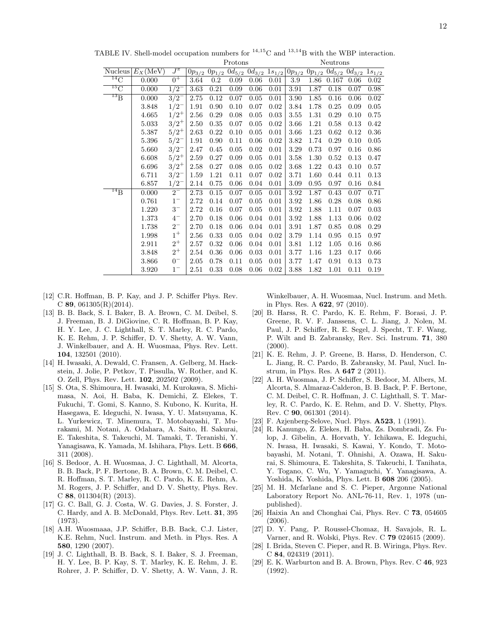|                     |                     |                              | Protons    |         |      |                                                        | Neutrons |      |      |                                                        |      |      |
|---------------------|---------------------|------------------------------|------------|---------|------|--------------------------------------------------------|----------|------|------|--------------------------------------------------------|------|------|
|                     | Nucleus $E_X$ (MeV) | $J^{\pi}$                    | $0p_{3/2}$ |         |      | $0p_{1/2}$ $0d_{5/2}$ $0d_{3/2}$ $1s_{1/2}$ $0p_{3/2}$ |          |      |      | $\overline{0p_{1/2} \ 0d_{5/2} \ 0d_{3/2} \ 1s_{1/2}}$ |      |      |
| $^{14}$ C           | 0.000               | $0^+$                        | 3.64       | $0.2\,$ | 0.09 | 0.06                                                   | 0.01     | 3.9  | 1.86 | 0.167                                                  | 0.06 | 0.02 |
| ${}^{15}\mathrm{C}$ | 0.000               | $1/2^{-}$                    | 3.63       | 0.21    | 0.09 | 0.06                                                   | 0.01     | 3.91 | 1.87 | 0.18                                                   | 0.07 | 0.98 |
| $^{13}B$            | 0.000               | $3/2^{-}$                    | 2.75       | 0.12    | 0.07 | 0.05                                                   | 0.01     | 3.90 | 1.85 | 0.16                                                   | 0.06 | 0.02 |
|                     | 3.848               | $1/2^{-}$                    | 1.91       | 0.90    | 0.10 | 0.07                                                   | 0.02     | 3.84 | 1.78 | 0.25                                                   | 0.09 | 0.05 |
|                     | 4.665               | $1/2^+$                      | 2.56       | 0.29    | 0.08 | 0.05                                                   | 0.03     | 3.55 | 1.31 | 0.29                                                   | 0.10 | 0.75 |
|                     | 5.033               | $3/2^+$                      | 2.50       | 0.35    | 0.07 | 0.05                                                   | 0.02     | 3.66 | 1.21 | 0.58                                                   | 0.13 | 0.42 |
|                     | 5.387               | $5/2^+$                      | 2.63       | 0.22    | 0.10 | 0.05                                                   | 0.01     | 3.66 | 1.23 | 0.62                                                   | 0.12 | 0.36 |
|                     | 5.396               | $5/2^{-}$                    | 1.91       | 0.90    | 0.11 | 0.06                                                   | 0.02     | 3.82 | 1.74 | 0.29                                                   | 0.10 | 0.05 |
|                     | 5.660               | $3/2^{-}$                    | 2.47       | 0.45    | 0.05 | 0.02                                                   | 0.01     | 3.29 | 0.73 | 0.97                                                   | 0.16 | 0.86 |
|                     | 6.608               | $5/2^+$                      | 2.59       | 0.27    | 0.09 | 0.05                                                   | 0.01     | 3.58 | 1.30 | 0.52                                                   | 0.13 | 0.47 |
|                     | 6.696               | $3/2^+$                      | 2.58       | 0.27    | 0.08 | 0.05                                                   | 0.02     | 3.68 | 1.22 | 0.43                                                   | 0.10 | 0.57 |
|                     | 6.711               | $3/2^{-}$                    | 1.59       | 1.21    | 0.11 | 0.07                                                   | 0.02     | 3.71 | 1.60 | 0.44                                                   | 0.11 | 0.13 |
|                     | 6.857               | $1/2^{-}$                    | 2.14       | 0.75    | 0.06 | 0.04                                                   | 0.01     | 3.09 | 0.95 | 0.97                                                   | 0.16 | 0.84 |
| $^{14}$ B           | 0.000               | $2^{-}$                      | 2.73       | 0.15    | 0.07 | 0.05                                                   | 0.01     | 3.92 | 1.87 | 0.43                                                   | 0.07 | 0.71 |
|                     | 0.761               | $1^-\,$                      | 2.72       | 0.14    | 0.07 | 0.05                                                   | 0.01     | 3.92 | 1.86 | 0.28                                                   | 0.08 | 0.86 |
|                     | 1.220               | $3^{{\scriptscriptstyle -}}$ | 2.72       | 0.16    | 0.07 | 0.05                                                   | 0.01     | 3.92 | 1.88 | 1.11                                                   | 0.07 | 0.03 |
|                     | 1.373               | $4-$                         | 2.70       | 0.18    | 0.06 | 0.04                                                   | 0.01     | 3.92 | 1.88 | 1.13                                                   | 0.06 | 0.02 |
|                     | 1.738               | $2^-\,$                      | 2.70       | 0.18    | 0.06 | 0.04                                                   | 0.01     | 3.91 | 1.87 | 0.85                                                   | 0.08 | 0.29 |
|                     | 1.998               | $1^+$                        | 2.56       | 0.33    | 0.05 | 0.04                                                   | 0.02     | 3.79 | 1.14 | 0.95                                                   | 0.15 | 0.97 |
|                     | 2.911               | $2^+$                        | 2.57       | 0.32    | 0.06 | 0.04                                                   | 0.01     | 3.81 | 1.12 | 1.05                                                   | 0.16 | 0.86 |
|                     | 3.848               | $2^+$                        | 2.54       | 0.36    | 0.06 | 0.03                                                   | 0.01     | 3.77 | 1.16 | 1.23                                                   | 0.17 | 0.66 |
|                     | 3.866               | $0-$                         | 2.05       | 0.78    | 0.11 | 0.05                                                   | 0.01     | 3.77 | 1.47 | 0.91                                                   | 0.13 | 0.73 |
|                     | 3.920               | $1-$                         | 2.51       | 0.33    | 0.08 | 0.06                                                   | 0.02     | 3.88 | 1.82 | 1.01                                                   | 0.11 | 0.19 |

TABLE IV. Shell-model occupation numbers for  $14,15$ C and  $13,14$ B with the WBP interaction.

- [12] C.R. Hoffman, B. P. Kay, and J. P. Schiffer Phys. Rev.  $C$  89, 061305 $(R)(2014)$ .
- [13] B. B. Back, S. I. Baker, B. A. Brown, C. M. Deibel, S. J. Freeman, B. J. DiGiovine, C. R. Hoffman, B. P. Kay, H. Y. Lee, J. C. Lighthall, S. T. Marley, R. C. Pardo, K. E. Rehm, J. P. Schiffer, D. V. Shetty, A. W. Vann, J. Winkelbauer, and A. H. Wuosmaa, Phys. Rev. Lett. 104, 132501 (2010).
- [14] H. Iwasaki, A. Dewald, C. Fransen, A. Gelberg, M. Hackstein, J. Jolie, P. Petkov, T. Pissulla, W. Rother, and K. O. Zell, Phys. Rev. Lett. 102, 202502 (2009).
- [15] S. Ota, S. Shimoura, H. Iwasaki, M. Kurokawa, S. Michimasa, N. Aoi, H. Baba, K. Demichi, Z. Elekes, T. Fukuchi, T. Gomi, S. Kanno, S. Kubono, K. Kurita, H. Hasegawa, E. Ideguchi, N. Iwasa, Y. U. Matsuyama, K. L. Yurkewicz, T. Minemura, T. Motobayashi, T. Murakami, M. Notani, A. Odahara, A. Saito, H. Sakurai, E. Takeshita, S. Takeuchi, M. Tamaki, T. Teranishi, Y. Yanagisawa, K. Yamada, M. Ishihara, Phys. Lett. B 666, 311 (2008).
- [16] S. Bedoor, A. H. Wuosmaa, J. C. Lighthall, M. Alcorta, B. B. Back, P. F. Bertone, B. A. Brown, C. M. Deibel, C. R. Hoffman, S. T. Marley, R. C. Pardo, K. E. Rehm, A. M. Rogers, J. P. Schiffer, and D. V. Shetty, Phys. Rev. C 88, 011304(R) (2013).
- [17] G. C. Ball, G. J. Costa, W. G. Davies, J. S. Forster, J. C. Hardy, and A. B. McDonald, Phys. Rev. Lett. 31, 395 (1973).
- [18] A.H. Wuosmaaa, J.P. Schiffer, B.B. Back, C.J. Lister, K.E. Rehm, Nucl. Instrum. and Meth. in Phys. Res. A 580, 1290 (2007).
- [19] J. C. Lighthall, B. B. Back, S. I. Baker, S. J. Freeman, H. Y. Lee, B. P. Kay, S. T. Marley, K. E. Rehm, J. E. Rohrer, J. P. Schiffer, D. V. Shetty, A. W. Vann, J. R.

Winkelbauer, A. H. Wuosmaa, Nucl. Instrum. and Meth. in Phys. Res. A 622, 97 (2010).

- [20] B. Harss, R. C. Pardo, K. E. Rehm, F. Borasi, J. P. Greene, R. V. F. Janssens, C. L. Jiang, J. Nolen, M. Paul, J. P. Schiffer, R. E. Segel, J. Specht, T. F. Wang, P. Wilt and B. Zabransky, Rev. Sci. Instrum. 71, 380  $(2000).$
- [21] K. E. Rehm, J. P. Greene, B. Harss, D. Henderson, C. L. Jiang, R. C. Pardo, B. Zabransky, M. Paul, Nucl. Instrum, in Phys. Res. A 647 2 (2011).
- [22] A. H. Wuosmaa, J. P. Schiffer, S. Bedoor, M. Albers, M. Alcorta, S. Almaraz-Calderon, B. B. Back, P. F. Bertone, C. M. Deibel, C. R. Hoffman, J. C. Lighthall, S. T. Marley, R. C. Pardo, K. E. Rehm, and D. V. Shetty, Phys. Rev. C 90, 061301 (2014).
- [23] F. Azjenberg-Selove, Nucl. Phys. A523, 1 (1991).
- [24] R. Kanungo, Z. Elekes, H. Baba, Zs. Dombradi, Zs. Fulop, J. Gibelin, A. Horvath, Y. Ichikawa, E. Ideguchi, N. Iwasa, H. Iwasaki, S. Kawai, Y. Kondo, T. Motobayashi, M. Notani, T. Ohnishi, A. Ozawa, H. Sakurai, S. Shimoura, E. Takeshita, S. Takeuchi, I. Tanihata, Y. Togano, C. Wu, Y. Yamaguchi, Y. Yanagisawa, A. Yoshida, K. Yoshida, Phys. Lett. B 608 206 (2005).
- [25] M. H. Mcfarlane and S. C. Pieper, Argonne National Laboratory Report No. ANL-76-11, Rev. 1, 1978 (unpublished).
- [26] Haixia An and Chonghai Cai, Phys. Rev. C 73, 054605  $(2006)$
- [27] D. Y. Pang, P. Roussel-Chomaz, H. Savajols, R. L. Varner, and R. Wolski, Phys. Rev. C 79 024615 (2009).
- [28] I. Brida, Steven C. Pieper, and R. B. Wiringa, Phys. Rev. C 84, 024319 (2011).
- [29] E. K. Warburton and B. A. Brown, Phys. Rev. C 46, 923 (1992).